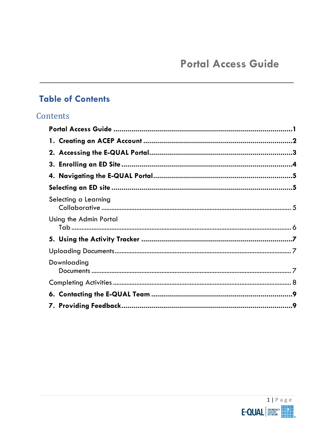### <span id="page-0-0"></span>**Table of Contents**

### Contents

| Selecting a Learning   |  |
|------------------------|--|
| Using the Admin Portal |  |
|                        |  |
|                        |  |
| Downloading            |  |
|                        |  |
|                        |  |
|                        |  |

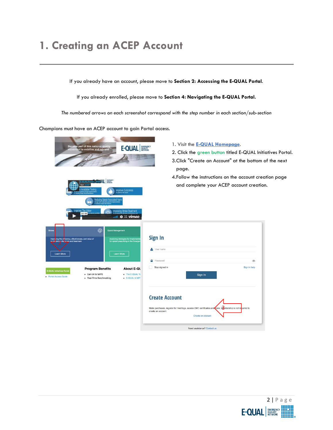# <span id="page-1-0"></span>**1. Creating an ACEP Account**

If you already have an account, please move to **Section 2: Accessing the E-QUAL Portal**.

If you already enrolled, please move to **Section 4: Navigating the E-QUAL Portal.**

*The numbered arrows on each screenshot correspond with the step number in each section/sub-section*

Champions must have an ACEP account to gain Portal access.



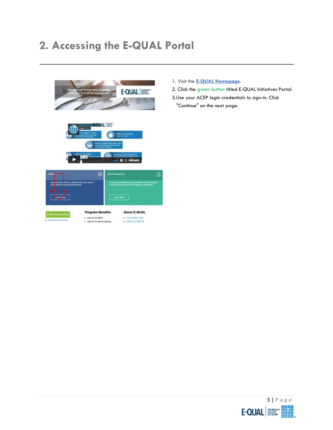# <span id="page-2-0"></span>**2. Accessing the E-QUAL Portal**



- 1. Visit the **E-QUAL [Homepage](http://email.acep.org/c/4/?T=NjEzMDk3MDg%3AMDItYjE3MzE5LTQyODY0OTEyNTc5NzRkYjM4MTUyN2RiN2Y1NzVjZjJl%3AZHNoYXJtYUBhY2VwLm9yZw%3AY29udGFjdC03NjA2NWQ3YzBkNTFlNzExODE1MDBhODQ5ZWM2MTI4Yi0xZmEwODRkOWJhOTc0MmRmYTdlNjdiMzNlMjA3MDQ3Mw%3AZmFsc2U%3AMA%3AQWNjZXNz%3AaHR0cHM6Ly93d3cuYWNlcC5vcmcvZXF1YWwvP19jbGRlZT1aSE5vWVhKdFlVQmhZMlZ3TG05eVp3JTNkJTNkJnJlY2lwaWVudGlkPWNvbnRhY3QtNzYwNjVkN2MwZDUxZTcxMTgxNTAwYTg0OWVjNjEyOGItMWZhMDg0ZDliYTk3NDJkZmE3ZTY3YjMzZTIwNzA0NzMmZXNpZD1lODEwMjA2NS0wNWNhLWU3MTEtODE1MC0wYTg0OWVjNjEyOGI&K=WRMiWOsSap6W-0WYK2Gq5g)**.
- 2. Click the green button titled E-QUAL Initiatives Portal.
- 3.Use your ACEP login credentials to sign-in. Click
- "Continue" on the next page.

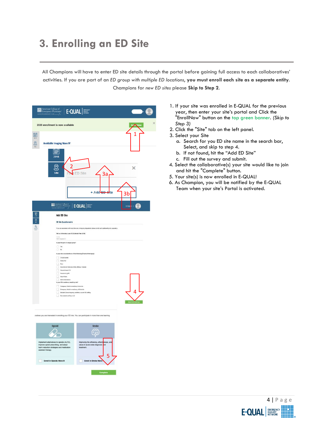## <span id="page-3-0"></span>**3. Enrolling an ED Site**

All Champions will have to enter ED site details through the portal before gaining full access to each collaboratives' activities. If you are part of an *ED group with multiple ED locations*, **you must enroll each site as a separate entity**. Champions for *new ED sites* please **Skip to Step 2**.

| <b>Example 2</b><br><b>Example 2</b><br><b>Example 2</b><br><b>Example 2</b><br><b>Physicians</b><br>E-QUAL  <br>NONS EMPISENCY CARE                                                                                                                                                                                                                                                                                                                    | $\mathbf{Q}$ |
|---------------------------------------------------------------------------------------------------------------------------------------------------------------------------------------------------------------------------------------------------------------------------------------------------------------------------------------------------------------------------------------------------------------------------------------------------------|--------------|
| 2020 enrollment is now available                                                                                                                                                                                                                                                                                                                                                                                                                        |              |
| 量<br>2<br><b>Avoidable Imaging Wave IV</b>                                                                                                                                                                                                                                                                                                                                                                                                              | 1            |
| <b>ESSE</b><br>2018<br>$\otimes$<br>2<br>Site<br>FIN ED Site<br>3a<br>+ Add <del>ED S</del> te                                                                                                                                                                                                                                                                                                                                                          | ×<br>3b      |
| $\blacksquare \qquad \qquad \blacksquare \qquad \qquad \blacksquare \qquad \qquad \blacksquare \qquad \qquad \blacksquare \qquad \blacksquare$                                                                                                                                                                                                                                                                                                          |              |
| ig at<br><b>Add ED Site</b><br><b>ED Site Questionnaire</b><br>If you are associated with more than one omergency department, please onroll cash participating site separately.<br>Tell us a little about your ED (Calendar Year 2018)<br>ingen<br>Weiterstanden<br>is your EO part of a larger group?<br>$\frac{1}{\sqrt{2}}$<br>is your site considered one of the following (Check all that apply)<br>Critical Access<br>Selety Ned<br>Rua           |              |
| Government (Veterang Afizirs, Military, Federal)<br>Hospital beard ED<br>Freemanding RO<br>Urgo et Care<br>None of the above<br>In your ED a realdency teaching site?<br>Emergency Medicine residency home site<br>ī<br>Emargency Medicine residency, affiliate alter<br>Resident (Nonemergenzy modeline) support ED staffing<br>No residerts staffing in LLD                                                                                           | 4            |
| pratives you are interested in enrolling your ED into. You can participate in more than one learning<br><b>Opioid</b><br><b>Stroke</b><br>matives to opioids (ALTO),<br>Improving the efficiency, effe<br>Implement alte<br>improve opioid prescribing, and adopt<br>value of acute stoke diagnosis<br>x<br>harm reduction strategies and medication<br>treatment.<br>assisted therapy.<br>5<br>Enroll in Opioids Wave III<br>Enroll in Stroke Wo<br>c. |              |

- 1. If your site was enrolled in E-QUAL for the previous year, then enter your site's portal and Click the "EnrollNow" button on the top green banner. *(Skip to Step 3)*
- 2. Click the "Site" tab on the left panel.
- 3. Select your Site
	- a. Search for you ED site name in the search bar, Select, and skip to step 4.
	- b. If not found, hit the "Add ED Site"
	- c. Fill out the survey and submit.
- 4. Select the collaborative(s) your site would like to join and hit the "Complete" button.
- 5. Your site(s) is now enrolled in E-QUAL!
- 6. As Champion, you will be notified by the E-QUAL Team when your site's Portal is activated.

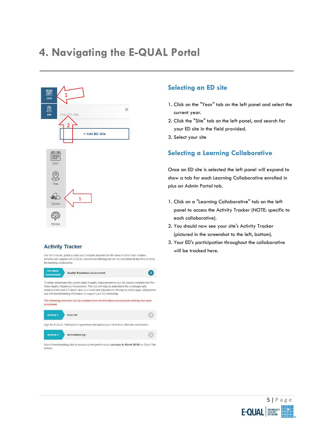### <span id="page-4-0"></span>**4. Navigating the E-QUAL Portal**

<span id="page-4-2"></span><span id="page-4-1"></span>

#### **Activity Tracker**

Use the E-QUAL portal to track and complete activities for the Wave II Chest Pain Initiative. Activities are aligned with E-QUAL educational offerings but can be completed at any time durning<br>the learning collaborative.





Submit benchmarking data to assess current performance (January to March 2018) on Chest Pain metrics

#### **Selecting an ED site**

- 1. Click on the "Year" tab on the left panel and select the current year.
- 2. Click the "Site" tab on the left panel, and search for your ED site in the field provided.
- 3. Select your site

### **Selecting a Learning Collaborative**

Once an ED site is selected the left panel will expand to show a tab for each Learning Collaborative enrolled in plus an Admin Portal tab.

- 1. Click on a "Learning Collaborative" tab on the left panel to access the Activity Tracker (NOTE: specific to each collaborative).
- 2. You should now see your site's Activity Tracker (pictured in the screenshot to the left, bottom).
- 3. Your ED's participation throughout the collaborative will be tracked here.

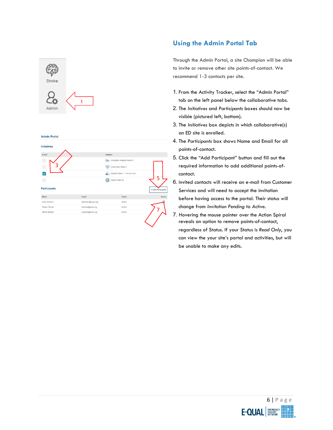<span id="page-5-0"></span>

#### **Admin Portal**



#### **Using the Admin Portal Tab**

Through the Admin Portal, a site Champion will be able to invite or remove other site points-of-contact. We recommend 1-3 contacts per site.

- 1. From the Activity Tracker, select the "Admin Portal" tab on the left panel below the collaborative tabs.
- 2. The *Initiatives* and *Participants* boxes should now be visible (pictured left, bottom).
- 3. The *Initiatives* box depicts in which collaborative(s) an ED site is enrolled.
- 4. The *Participants* box shows Name and Email for all points-of-contact.
- 5. Click the "Add Participant" button and fill out the required information to add additional points-ofcontact.
- 6. Invited contacts will receive an e-mail from Customer Services and will need to accept the invitation before having access to the portal. Their status will change from *Invitation Pending* to *Active.*
- 7. Hovering the mouse pointer over the Action Spiral reveals an option to remove points-of-contact, regardless of Status. If your Status is *Read Only*, you can view the your site's portal and activities, but will be unable to make any edits.

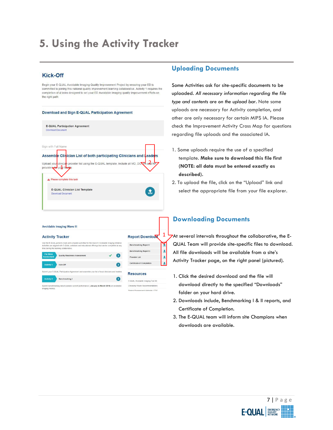## <span id="page-6-0"></span>**5. Using the Activity Tracker**

#### <span id="page-6-1"></span>**Kick-Off**

Begin your E-QUAL Avoidable Imaging Quality Improvement Project by ensuring your ED is committed to joining this national quality improvement learning collaborative. Activity 1 requires the completion of 4 tasks designed to set your ED Avoidable Imaging quality improvement efforts on the right path:



Provider List

െ

 $\bullet$ 

Certificate of Completion

E-QUAL Avoidable Imaging Tool Ki ing Wisely Recom tickt fineme

**Resources** 

 $\overline{\mathbf{r}}$ 

<span id="page-6-2"></span>Quality Readiness Assessme

Kick-Off

Benchmarking

### **Uploading Documents**

Some Activities ask for site-specific documents to be uploaded. *All necessary information regarding the file type and contents are on the upload bar.* Note some uploads are necessary for Activity completion, and other are only necessary for certain MIPS IA. Please check the Improvement Activity Cross Map for questions regarding file uploads and the associated IA.

- 1. Some uploads require the use of a specified template. **Make sure to download this file first (NOTE: all data must be entered exactly as described).**
- 2. To upload the file, click on the "Upload" link and select the appropriate file from your file explorer.

### **Downloading Documents**

At several intervals throughout the collaborative, the E-QUAL Team will provide site-specific files to download. All file downloads will be available from a site's Activity Tracker page, on the right panel (pictured).

- 1. Click the desired download and the file will download directly to the specified "Downloads" folder on your hard drive.
- 2. Downloads include, Benchmarking I & II reports, and Certificate of Completion.
- 3. The E-QUAL team will inform site Champions when downloads are available.

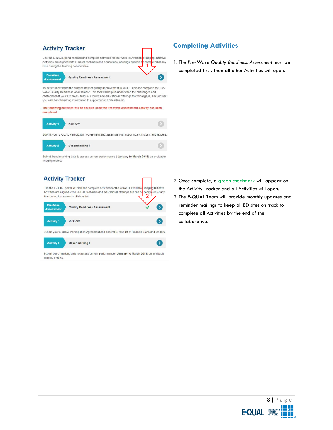#### <span id="page-7-0"></span>**Activity Tracker** Use the E-QUAL portal to track and complete activities for the Wave III Avoidable naging Initiative. Activities are aligned with E-QUAL webinars and educational offerings but can b **iom** time during the learning collaborative. Pre-Wave Quality Readiness Assessment Assessment To better understand the current state of quality improvement in your ED please complete the Pre-Wave Quality Readiness Assessment. This tool will help us understand the challenges and obstacles that your ED faces, tailor our toolkit and educational offerings to critical gaps, and provide

you with benchmarking information to support your ED leadership.

The following activities will be enabled once the Pre-Wave Assessment Activity has been completed.

| <b>Activity 1</b> | Kick-Off                                                                                        |  |
|-------------------|-------------------------------------------------------------------------------------------------|--|
|                   | Submit your E-QUAL Participation Agreement and assemble your list of local clinicians and leade |  |

**Activity 2** Benchmarking I

Submit benchmarking data to assess current performance (January to March 2018) on avoidable imaging metrics.

### **Activity Tracker**

Use the E-QUAL portal to track and complete activities for the Wave III Avoidable aging Initiative. Activities are aligned with E-QUAL webinars and educational offerings but can be ted at any time during the learning collaborative 2



**Activity 2** Benchmarking I

Submit benchmarking data to assess current performance (January to March 2018) on avoidable imaging metrics.

**Completing Activities**

eted at any

 $\rightarrow$ 

 $\bullet$ 

1. The *Pre-Wave Quality Readiness Assessment* must be completed first. Then all other Activities will open.

- 2. Once complete, a green checkmark will appear on the Activity Tracker and all Activities will open.
- 3. The E-QUAL Team will provide monthly updates and reminder mailings to keep all ED sites on track to complete all Activities by the end of the collaborative.